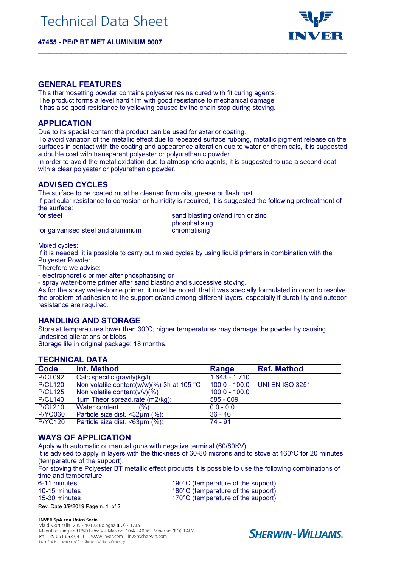47455 - PE/P BT MET ALUMINIUM 9007



#### GENERAL FEATURES

This thermosetting powder contains polyester resins cured with fit curing agents. The product forms a level hard film with good resistance to mechanical damage. It has also good resistance to yellowing caused by the chain stop during stoving.

## APPLICATION

Due to its special content the product can be used for exterior coating.

To avoid variation of the metallic effect due to repeated surface rubbing, metallic pigment release on the surfaces in contact with the coating and appearence alteration due to water or chemicals, it is suggested a double coat with transparent polyester or polyurethanic powder.

 $\mathcal{L}_\mathcal{L} = \{ \mathcal{L}_\mathcal{L} = \{ \mathcal{L}_\mathcal{L} = \{ \mathcal{L}_\mathcal{L} = \{ \mathcal{L}_\mathcal{L} = \{ \mathcal{L}_\mathcal{L} = \{ \mathcal{L}_\mathcal{L} = \{ \mathcal{L}_\mathcal{L} = \{ \mathcal{L}_\mathcal{L} = \{ \mathcal{L}_\mathcal{L} = \{ \mathcal{L}_\mathcal{L} = \{ \mathcal{L}_\mathcal{L} = \{ \mathcal{L}_\mathcal{L} = \{ \mathcal{L}_\mathcal{L} = \{ \mathcal{L}_\mathcal{$ 

In order to avoid the metal oxidation due to atmospheric agents, it is suggested to use a second coat with a clear polyester or polyurethanic powder.

# ADVISED CYCLES

The surface to be coated must be cleaned from oils, grease or flash rust.

If particular resistance to corrosion or humidity is required, it is suggested the following pretreatment of the surface:

| for steel                          | sand blasting or/and iron or zinc |  |
|------------------------------------|-----------------------------------|--|
|                                    | phosphatising                     |  |
| for galvanised steel and aluminium | chromatising                      |  |

Mixed cycles:

If it is needed, it is possible to carry out mixed cycles by using liquid primers in combination with the Polyester Powder.

Therefore we advise:

- electrophoretic primer after phosphatising or

- spray water-borne primer after sand blasting and successive stoving.

As for the spray water-borne primer, it must be noted, that it was specially formulated in order to resolve the problem of adhesion to the support or/and among different layers, especially if durability and outdoor resistance are required.

### HANDLING AND STORAGE

Store at temperatures lower than 30°C; higher temperatures may damage the powder by causing undesired alterations or blobs.

Storage life in original package: 18 months.

## TECHNICAL DATA

| Code           | Int. Method                                         | Range           | <b>Ref. Method</b>            |  |  |
|----------------|-----------------------------------------------------|-----------------|-------------------------------|--|--|
| <b>P/CL092</b> | Calc.specific gravity(kg/l):                        | $1.643 - 1.710$ |                               |  |  |
| <b>P/CL120</b> | Non volatile content(w/w)(%) 3h at 105 $^{\circ}$ C |                 | 100.0 - 100.0 UNI EN ISO 3251 |  |  |
| <b>P/CL125</b> | Non volatile content( $v/v$ )(%)                    | $100.0 - 100.0$ |                               |  |  |
| <b>P/CL143</b> | 1um Theor.spread.rate (m2/kg):                      | $585 - 609$     |                               |  |  |
| <b>P/CL210</b> | Water content<br>(%):                               | $0.0 - 0.0$     |                               |  |  |
| <b>P/YC060</b> | Particle size dist. <32µm (%):                      | $36 - 46$       |                               |  |  |
| <b>P/YC120</b> | Particle size dist. <63µm (%):                      | $74 - 91$       |                               |  |  |
|                |                                                     |                 |                               |  |  |

### WAYS OF APPLICATION

Apply with automatic or manual guns with negative terminal (60/80KV).

It is advised to apply in layers with the thickness of 60-80 microns and to stove at 160°C for 20 minutes (temperature of the support).

For stoving the Polyester BT metallic effect products it is possible to use the following combinations of time and temperature:

| 6-11 minutes  | 190°C (temperature of the support) |
|---------------|------------------------------------|
| 10-15 minutes | 180°C (temperature of the support) |
| 15-30 minutes | 170°C (temperature of the support) |

Rev. Date 3/9/2019 Page n. 1 of 2